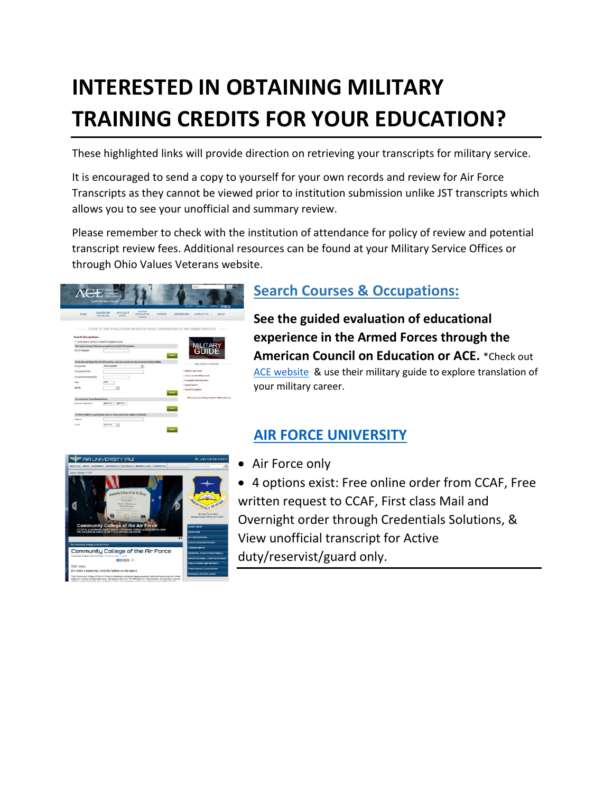## **INTERESTED IN OBTAINING MILITARY TRAINING CREDITS FOR YOUR EDUCATION?**

These highlighted links will provide direction on retrieving your transcripts for military service.

It is encouraged to send a copy to yourself for your own records and review for Air Force Transcripts as they cannot be viewed prior to institution submission unlike JST transcripts which allows you to see your unofficial and summary review.

Please remember to check with the institution of attendance for policy of review and potential transcript review fees. Additional resources can be found at your Military Service Offices or through Ohio Values Veterans website.



## **Search Courses & Occupations:**

**See the guided evaluation of educational experience in the Armed Forces through the American Council on Education or ACE.** \*Check ou[t](http://www2.acenet.edu/militaryguide/OccupationSearch.cfm) [ACE website](http://www2.acenet.edu/militaryguide/OccupationSearch.cfm) & use their military guide to explore translation of your military career.

## **[AIR FORCE UNIVERSITY](http://www.airuniversity.af.mil/Barnes/CCAF/Display/Article/803247/)**



- Air Force only
- 4 options exist: Free online order from CCAF, Free written request to CCAF, First class Mail and Overnight order through Credentials Solutions, & View unofficial transcript for Active duty/reservist/guard only.